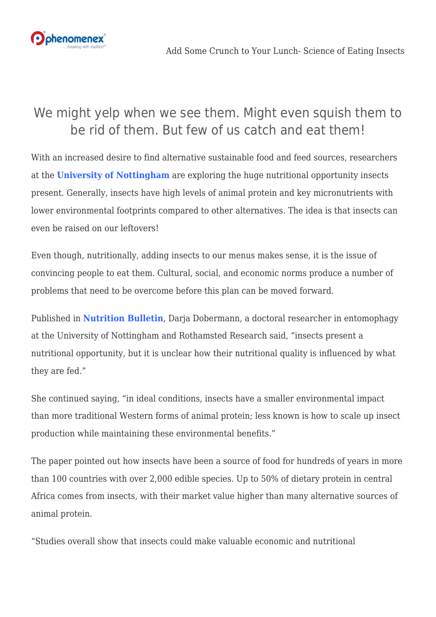

## We might yelp when we see them. Might even squish them to be rid of them. But few of us catch and eat them!

With an increased desire to find alternative sustainable food and feed sources, researchers at the **[University of Nottingham](http://www.nottingham.ac.uk/)** are exploring the huge nutritional opportunity insects present. Generally, insects have high levels of animal protein and key micronutrients with lower environmental footprints compared to other alternatives. The idea is that insects can even be raised on our leftovers!

Even though, nutritionally, adding insects to our menus makes sense, it is the issue of convincing people to eat them. Cultural, social, and economic norms produce a number of problems that need to be overcome before this plan can be moved forward.

Published in **[Nutrition Bulletin](http://ow.ly/nleI30gvqtN)**, Darja Dobermann, a doctoral researcher in entomophagy at the University of Nottingham and Rothamsted Research said, "insects present a nutritional opportunity, but it is unclear how their nutritional quality is influenced by what they are fed."

She continued saying, "in ideal conditions, insects have a smaller environmental impact than more traditional Western forms of animal protein; less known is how to scale up insect production while maintaining these environmental benefits."

The paper pointed out how insects have been a source of food for hundreds of years in more than 100 countries with over 2,000 edible species. Up to 50% of dietary protein in central Africa comes from insects, with their market value higher than many alternative sources of animal protein.

"Studies overall show that insects could make valuable economic and nutritional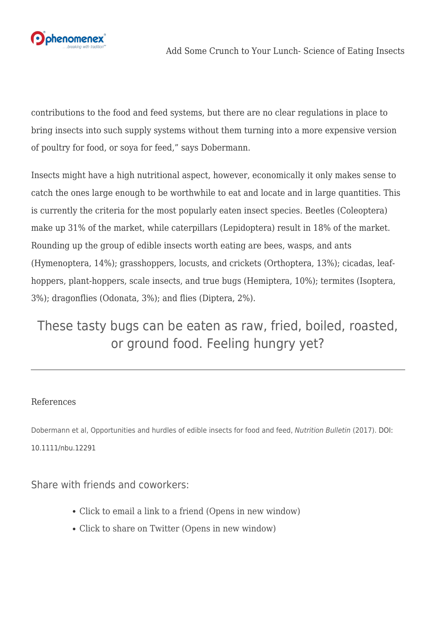

contributions to the food and feed systems, but there are no clear regulations in place to bring insects into such supply systems without them turning into a more expensive version of poultry for food, or soya for feed," says Dobermann.

Insects might have a high nutritional aspect, however, economically it only makes sense to catch the ones large enough to be worthwhile to eat and locate and in large quantities. This is currently the criteria for the most popularly eaten insect species. Beetles (Coleoptera) make up 31% of the market, while caterpillars (Lepidoptera) result in 18% of the market. Rounding up the group of edible insects worth eating are bees, wasps, and ants (Hymenoptera, 14%); grasshoppers, locusts, and crickets (Orthoptera, 13%); cicadas, leafhoppers, plant-hoppers, scale insects, and true bugs (Hemiptera, 10%); termites (Isoptera, 3%); dragonflies (Odonata, 3%); and flies (Diptera, 2%).

## These tasty bugs can be eaten as raw, fried, boiled, roasted, or ground food. Feeling hungry yet?

## References

Dobermann et al, Opportunities and hurdles of edible insects for food and feed, Nutrition Bulletin (2017). [DOI:](http://dx.doi.org/10.1111/nbu.12291) [10.1111/nbu.12291](http://dx.doi.org/10.1111/nbu.12291)

Share with friends and coworkers:

- [Click to email a link to a friend \(Opens in new window\)](mailto:?subject=%5BShared%20Post%5D%20Add%20Some%20Crunch%20to%20Your%20Lunch-%20Science%20of%20Eating%20Insects&body=https%3A%2F%2Fphenomenex.blog%2F2017%2F11%2F10%2Feating-insects%2F&share=email)
- [Click to share on Twitter \(Opens in new window\)](https://phenomenex.blog/2017/11/10/eating-insects/?share=twitter)